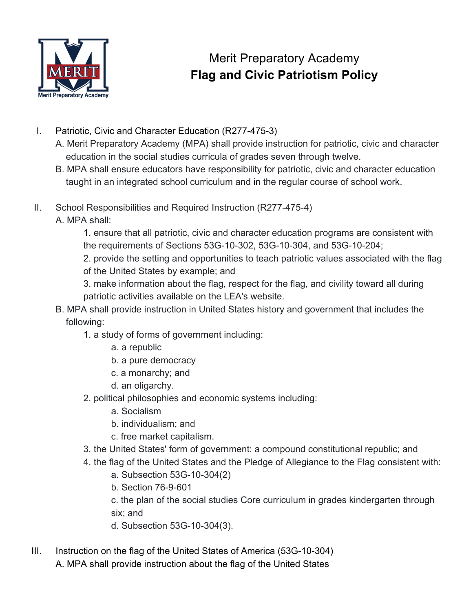

## Merit Preparatory Academy **Flag and Civic Patriotism Policy**

- I. Patriotic, Civic and Character Education (R277-475-3)
	- A. Merit Preparatory Academy (MPA) shall provide instruction for patriotic, civic and character education in the social studies curricula of grades seven through twelve.
	- B. MPA shall ensure educators have responsibility for patriotic, civic and character education taught in an integrated school curriculum and in the regular course of school work.
- II. School Responsibilities and Required Instruction (R277-475-4)

A. MPA shall:

1. ensure that all patriotic, civic and character education programs are consistent with the requirements of Sections 53G-10-302, 53G-10-304, and 53G-10-204;

2. provide the setting and opportunities to teach patriotic values associated with the flag of the United States by example; and

3. make information about the flag, respect for the flag, and civility toward all during patriotic activities available on the LEA's website.

- B. MPA shall provide instruction in United States history and government that includes the following:
	- 1. a study of forms of government including:
		- a. a republic
		- b. a pure democracy
		- c. a monarchy; and
		- d. an oligarchy.
	- 2. political philosophies and economic systems including:
		- a. Socialism
		- b. individualism; and
		- c. free market capitalism.
	- 3. the United States' form of government: a compound constitutional republic; and
	- 4. the flag of the United States and the Pledge of Allegiance to the Flag consistent with:
		- a. Subsection 53G-10-304(2)
		- b. Section 76-9-601

c. the plan of the social studies Core curriculum in grades kindergarten through six; and

- d. Subsection 53G-10-304(3).
- III. Instruction on the flag of the United States of America (53G-10-304) A. MPA shall provide instruction about the flag of the United States